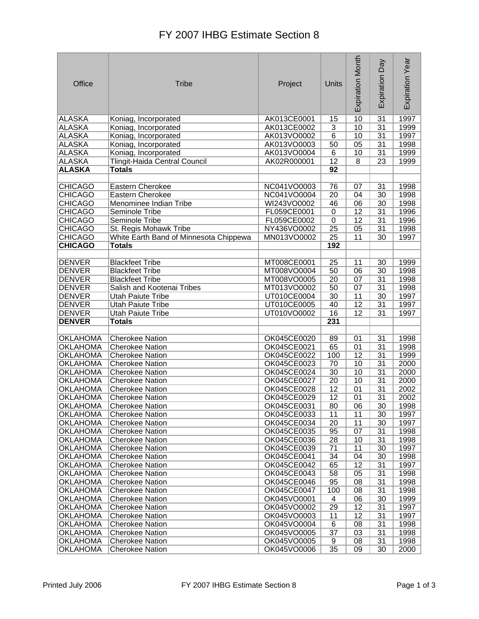## FY 2007 IHBG Estimate Section 8

| Office                             | <b>Tribe</b>                           | Project                    | Units           | Expiration Month | Day<br>Expiration | Expiration Year |
|------------------------------------|----------------------------------------|----------------------------|-----------------|------------------|-------------------|-----------------|
| ALASKA                             | Koniag, Incorporated                   | AK013CE0001                | 15              | 10               | 31                | 1997            |
| <b>ALASKA</b>                      | Koniag, Incorporated                   | AK013CE0002                | 3               | 10               | $\overline{31}$   | 1999            |
| <b>ALASKA</b>                      | Koniag, Incorporated                   | AK013VO0002                | $\overline{6}$  | 10               | 31                | 1997            |
| <b>ALASKA</b>                      | Koniag, Incorporated                   | AK013VO0003                | 50              | 05               | $\overline{31}$   | 1998            |
| <b>ALASKA</b>                      | Koniag, Incorporated                   | AK013VO0004                | 6               | 10               | $\overline{31}$   | 1999            |
| <b>ALASKA</b>                      | Tlingit-Haida Central Council          | AK02R000001                | 12              | 8                | 23                | 1999            |
| <b>ALASKA</b>                      | <b>Totals</b>                          |                            | 92              |                  |                   |                 |
|                                    |                                        |                            |                 |                  |                   |                 |
| <b>CHICAGO</b>                     | Eastern Cherokee                       | NC041VO0003                | 76              | 07               | 31                | 1998            |
| <b>CHICAGO</b>                     | Eastern Cherokee                       | NC041VO0004                | $\overline{20}$ | 04               | 30                | 1998            |
| <b>CHICAGO</b>                     | Menominee Indian Tribe                 | WI243VO0002                | 46              | 06               | 30                | 1998            |
| <b>CHICAGO</b>                     | Seminole Tribe                         | FL059CE0001                | $\overline{0}$  | 12               | $\overline{31}$   | 1996            |
| <b>CHICAGO</b>                     | Seminole Tribe                         | FL059CE0002                | $\pmb{0}$       | 12               | 31                | 1996            |
| <b>CHICAGO</b>                     | St. Regis Mohawk Tribe                 | NY436VO0002                | $\overline{25}$ | 05               | $\overline{31}$   | 1998            |
| <b>CHICAGO</b>                     | White Earth Band of Minnesota Chippewa | MN013VO0002                | $\overline{25}$ | 11               | $\overline{30}$   | 1997            |
| <b>CHICAGO</b>                     | <b>Totals</b>                          |                            | 192             |                  |                   |                 |
|                                    |                                        |                            |                 |                  |                   |                 |
| <b>DENVER</b>                      | <b>Blackfeet Tribe</b>                 | MT008CE0001                | 25              | 11               | 30                | 1999            |
| <b>DENVER</b>                      | <b>Blackfeet Tribe</b>                 | MT008VO0004                | 50              | 06               | 30                | 1998            |
| <b>DENVER</b>                      | <b>Blackfeet Tribe</b>                 | MT008VO0005                | $\overline{20}$ | 07               | $\overline{31}$   | 1998            |
| <b>DENVER</b>                      | Salish and Kootenai Tribes             | MT013VO0002                | 50              | 07               | 31                | 1998            |
| DENVER                             | <b>Utah Paiute Tribe</b>               | UT010CE0004                | $\overline{30}$ | 11               | $\overline{30}$   | 1997            |
| <b>DENVER</b>                      | <b>Utah Paiute Tribe</b>               | UT010CE0005                | 40              | 12               | 31                | 1997            |
| <b>DENVER</b>                      | <b>Utah Paiute Tribe</b>               | UT010VO0002                | 16              | $\overline{12}$  | $\overline{31}$   | 1997            |
| <b>DENVER</b>                      | <b>Totals</b>                          |                            | 231             |                  |                   |                 |
|                                    |                                        |                            |                 |                  |                   |                 |
| <b>OKLAHOMA</b>                    | <b>Cherokee Nation</b>                 | OK045CE0020                | 89              | 01               | $\overline{31}$   | 1998            |
| <b>OKLAHOMA</b>                    | <b>Cherokee Nation</b>                 | OK045CE0021                | 65              | 01               | 31                | 1998            |
| <b>OKLAHOMA</b>                    | <b>Cherokee Nation</b>                 | OK045CE0022                | 100             | $\overline{12}$  | $\overline{31}$   | 1999            |
| <b>OKLAHOMA</b>                    | <b>Cherokee Nation</b>                 | OK045CE0023                | 70              | 10               | $\overline{31}$   | 2000            |
| <b>OKLAHOMA</b>                    | <b>Cherokee Nation</b>                 | OK045CE0024                | 30              | 10               | 31                | 2000            |
| <b>OKLAHOMA</b>                    | <b>Cherokee Nation</b>                 | OK045CE0027                | $\overline{20}$ | 10               | $\overline{31}$   | 2000            |
| <b>OKLAHOMA</b>                    | <b>Cherokee Nation</b>                 | OK045CE0028                | 12              | 01               | 31                | 2002            |
| <b>OKLAHOMA</b>                    | <b>Cherokee Nation</b>                 | OK045CE0029                | $\overline{12}$ | 01               | $\overline{31}$   | 2002            |
| <b>OKLAHOMA</b>                    | <b>Cherokee Nation</b>                 | OK045CE0031                | 80              | 06               | 30                | 1998            |
| <b>OKLAHOMA</b>                    | <b>Cherokee Nation</b>                 | OK045CE0033                | 11              | 11               | 30                | 1997            |
| <b>OKLAHOMA</b>                    | <b>Cherokee Nation</b>                 | OK045CE0034                | 20              | 11               | 30                | 1997            |
| <b>OKLAHOMA</b>                    | <b>Cherokee Nation</b>                 | OK045CE0035                | 95              | 07               | 31                | 1998            |
| <b>OKLAHOMA</b>                    | <b>Cherokee Nation</b>                 | OK045CE0036                | 28              | 10               | 31                | 1998            |
| <b>OKLAHOMA</b>                    | <b>Cherokee Nation</b>                 | OK045CE0039                | 71              | 11               | 30                | 1997            |
| <b>OKLAHOMA</b>                    | <b>Cherokee Nation</b>                 | OK045CE0041                | 34              | 04               | 30                | 1998            |
| <b>OKLAHOMA</b>                    | <b>Cherokee Nation</b>                 | OK045CE0042                | 65              | 12               | 31                | 1997            |
| <b>OKLAHOMA</b>                    | <b>Cherokee Nation</b>                 | OK045CE0043                | 58              | 05               | 31                | 1998            |
| <b>OKLAHOMA</b>                    | <b>Cherokee Nation</b>                 | OK045CE0046                | 95              | 08               | 31                | 1998            |
| <b>OKLAHOMA</b>                    | <b>Cherokee Nation</b>                 | OK045CE0047                | 100             | 08               | 31                | 1998            |
| <b>OKLAHOMA</b>                    | <b>Cherokee Nation</b>                 | OK045VO0001                | 4               | 06               | 30                | 1999            |
| <b>OKLAHOMA</b>                    | <b>Cherokee Nation</b>                 | OK045VO0002                | 29              | 12               | 31                | 1997            |
| <b>OKLAHOMA</b>                    | <b>Cherokee Nation</b>                 | OK045VO0003                | 11              | 12               | 31                | 1997            |
| <b>OKLAHOMA</b><br><b>OKLAHOMA</b> | <b>Cherokee Nation</b>                 | OK045VO0004                | 6               | 08               | 31                | 1998            |
|                                    | <b>Cherokee Nation</b>                 | OK045VO0005                | 37              | 03               | 31                | 1998            |
| <b>OKLAHOMA</b><br><b>OKLAHOMA</b> | <b>Cherokee Nation</b>                 | OK045VO0005<br>OK045VO0006 | 9<br>35         | 08<br>09         | 31<br>30          | 1998<br>2000    |
|                                    | <b>Cherokee Nation</b>                 |                            |                 |                  |                   |                 |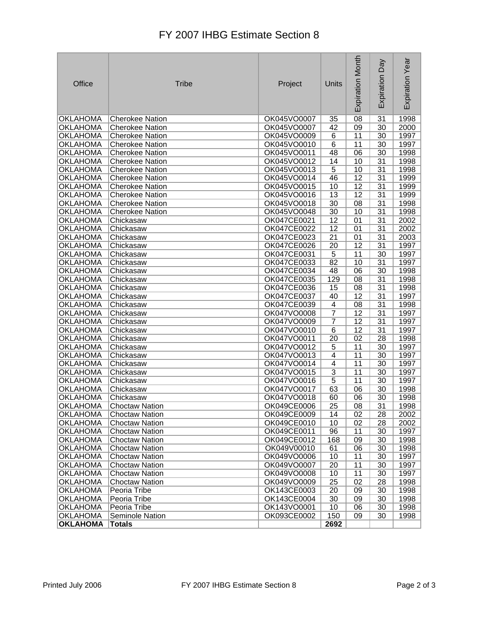## FY 2007 IHBG Estimate Section 8

| Office          | <b>Tribe</b>           | Project     | Units                   | <b>Expiration Month</b> | Day<br>Expiration | Expiration Year |
|-----------------|------------------------|-------------|-------------------------|-------------------------|-------------------|-----------------|
| <b>OKLAHOMA</b> | <b>Cherokee Nation</b> | OK045VO0007 | 35                      | 08                      | 31                | 1998            |
| <b>OKLAHOMA</b> | Cherokee Nation        | OK045VO0007 | 42                      | $\overline{09}$         | 30                | 2000            |
| <b>OKLAHOMA</b> | <b>Cherokee Nation</b> | OK045VO0009 | 6                       | 11                      | 30                | 1997            |
| <b>OKLAHOMA</b> | <b>Cherokee Nation</b> | OK045VO0010 | $\overline{6}$          | 11                      | 30                | 1997            |
| <b>OKLAHOMA</b> | <b>Cherokee Nation</b> | OK045VO0011 | 48                      | 06                      | $\overline{30}$   | 1998            |
| <b>OKLAHOMA</b> | <b>Cherokee Nation</b> | OK045VO0012 | 14                      | 10                      | $\overline{31}$   | 1998            |
| <b>OKLAHOMA</b> | Cherokee Nation        | OK045VO0013 | $\overline{5}$          | 10                      | $\overline{31}$   | 1998            |
| <b>OKLAHOMA</b> | <b>Cherokee Nation</b> | OK045VO0014 | 46                      | 12                      | 31                | 1999            |
| <b>OKLAHOMA</b> | <b>Cherokee Nation</b> | OK045VO0015 | 10                      | $\overline{12}$         | $\overline{31}$   | 1999            |
| <b>OKLAHOMA</b> | <b>Cherokee Nation</b> | OK045VO0016 | $\overline{13}$         | $\overline{12}$         | $\overline{31}$   | 1999            |
| <b>OKLAHOMA</b> | <b>Cherokee Nation</b> | OK045VO0018 | $\overline{30}$         | 08                      | $\overline{31}$   | 1998            |
| <b>OKLAHOMA</b> | <b>Cherokee Nation</b> | OK045VO0048 | 30                      | 10                      | 31                | 1998            |
| <b>OKLAHOMA</b> | Chickasaw              | OK047CE0021 | 12                      | 01                      | 31                | 2002            |
| <b>OKLAHOMA</b> | Chickasaw              | OK047CE0022 | $\overline{12}$         | 01                      | 31                | 2002            |
| <b>OKLAHOMA</b> | Chickasaw              | OK047CE0023 | $\overline{21}$         | 01                      | $\overline{31}$   | 2003            |
| <b>OKLAHOMA</b> | Chickasaw              | OK047CE0026 | 20                      | $\overline{12}$         | $\overline{31}$   | 1997            |
| <b>OKLAHOMA</b> | Chickasaw              | OK047CE0031 | 5                       | 11                      | 30                | 1997            |
| <b>OKLAHOMA</b> | Chickasaw              | OK047CE0033 | 82                      | 10                      | 31                | 1997            |
| <b>OKLAHOMA</b> | Chickasaw              | OK047CE0034 | 48                      | 06                      | 30                | 1998            |
| <b>OKLAHOMA</b> | Chickasaw              | OK047CE0035 | 129                     | $\overline{08}$         | $\overline{31}$   | 1998            |
| <b>OKLAHOMA</b> | Chickasaw              | OK047CE0036 | 15                      | 08                      | $\overline{31}$   | 1998            |
| <b>OKLAHOMA</b> | Chickasaw              | OK047CE0037 | 40                      | 12                      | $\overline{31}$   | 1997            |
| <b>OKLAHOMA</b> | Chickasaw              | OK047CE0039 | $\overline{\mathbf{4}}$ | 08                      | 31                | 1998            |
| <b>OKLAHOMA</b> | Chickasaw              | OK047VO0008 | $\overline{7}$          | $\overline{12}$         | $\overline{31}$   | 1997            |
| <b>OKLAHOMA</b> | Chickasaw              | OK047VO0009 | $\overline{7}$          | $\overline{12}$         | 31                | 1997            |
| <b>OKLAHOMA</b> | Chickasaw              | OK047VO0010 | 6                       | $\overline{12}$         | $\overline{31}$   | 1997            |
| <b>OKLAHOMA</b> | Chickasaw              | OK047VO0011 | $\overline{20}$         | $\overline{02}$         | 28                | 1998            |
| <b>OKLAHOMA</b> | Chickasaw              | OK047VO0012 | 5                       | 11                      | 30                | 1997            |
| <b>OKLAHOMA</b> | Chickasaw              | OK047VO0013 | $\overline{4}$          | 11                      | 30                | 1997            |
| <b>OKLAHOMA</b> | Chickasaw              | OK047VO0014 | $\overline{4}$          | $\overline{11}$         | $\overline{30}$   | 1997            |
| <b>OKLAHOMA</b> | Chickasaw              | OK047VO0015 | $\overline{3}$          | 11                      | 30                | 1997            |
| <b>OKLAHOMA</b> | Chickasaw              | OK047VO0016 | 5                       | 11                      | 30                | 1997            |
| <b>OKLAHOMA</b> | Chickasaw              | OK047VO0017 | 63                      | 06                      | 30                | 1998            |
| <b>OKLAHOMA</b> | Chickasaw              | OK047VO0018 | 60                      | 06                      | 30                | 1998            |
| <b>OKLAHOMA</b> | <b>Choctaw Nation</b>  | OK049CE0006 | 25                      | 08                      | 31                | 1998            |
| <b>OKLAHOMA</b> | <b>Choctaw Nation</b>  | OK049CE0009 | 14                      | 02                      | 28                | 2002            |
| <b>OKLAHOMA</b> | <b>Choctaw Nation</b>  | OK049CE0010 | 10                      | 02                      | 28                | 2002            |
| <b>OKLAHOMA</b> | <b>Choctaw Nation</b>  | OK049CE0011 | 96                      | 11                      | 30                | 1997            |
| <b>OKLAHOMA</b> | <b>Choctaw Nation</b>  | OK049CE0012 | 168                     | 09                      | 30                | 1998            |
| <b>OKLAHOMA</b> | <b>Choctaw Nation</b>  | OK049V00010 | 61                      | 06                      | 30                | 1998            |
| <b>OKLAHOMA</b> | <b>Choctaw Nation</b>  | OK049VO0006 | 10                      | 11                      | 30                | 1997            |
| <b>OKLAHOMA</b> | <b>Choctaw Nation</b>  | OK049VO0007 | 20                      | 11                      | 30                | 1997            |
| <b>OKLAHOMA</b> | <b>Choctaw Nation</b>  | OK049VO0008 | 10                      | 11                      | 30                | 1997            |
| <b>OKLAHOMA</b> | <b>Choctaw Nation</b>  | OK049VO0009 | $\overline{25}$         | 02                      | 28                | 1998            |
| <b>OKLAHOMA</b> | Peoria Tribe           | OK143CE0003 | $\overline{20}$         | 09                      | 30                | 1998            |
| <b>OKLAHOMA</b> | Peoria Tribe           | OK143CE0004 | $\overline{30}$         | 09                      | 30                | 1998            |
| <b>OKLAHOMA</b> | Peoria Tribe           | OK143VO0001 | 10                      | 06                      | 30                | 1998            |
| <b>OKLAHOMA</b> | Seminole Nation        | OK093CE0002 | 150                     | 09                      | 30                | 1998            |
| <b>OKLAHOMA</b> | <b>Totals</b>          |             | 2692                    |                         |                   |                 |